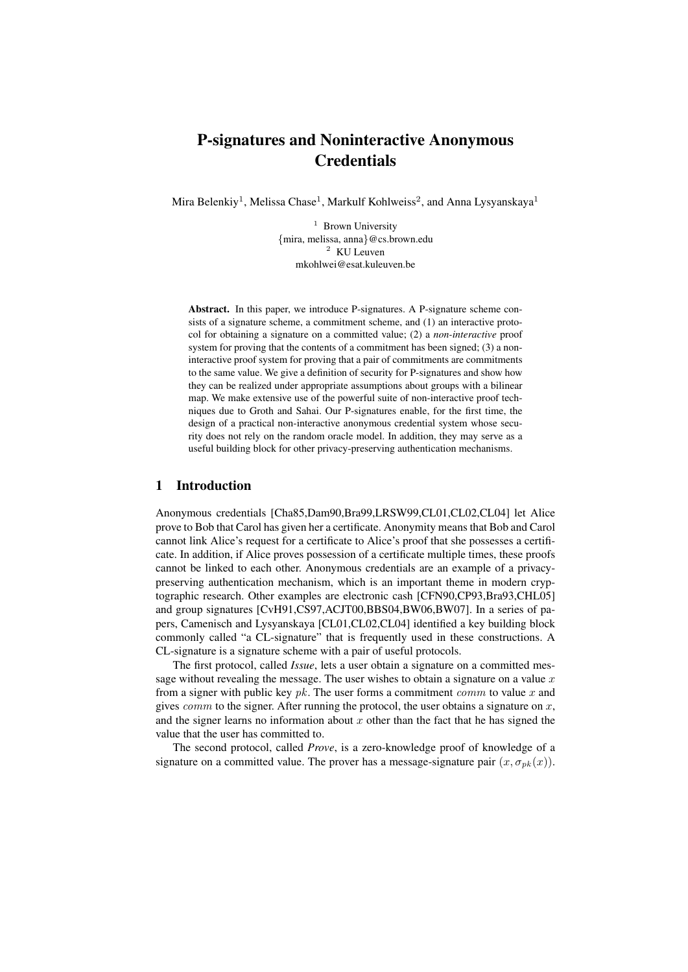# P-signatures and Noninteractive Anonymous **Credentials**

Mira Belenkiy<sup>1</sup>, Melissa Chase<sup>1</sup>, Markulf Kohlweiss<sup>2</sup>, and Anna Lysyanskaya<sup>1</sup>

 $1$  Brown University {mira, melissa, anna}@cs.brown.edu <sup>2</sup> KU Leuven mkohlwei@esat.kuleuven.be

Abstract. In this paper, we introduce P-signatures. A P-signature scheme consists of a signature scheme, a commitment scheme, and (1) an interactive protocol for obtaining a signature on a committed value; (2) a *non-interactive* proof system for proving that the contents of a commitment has been signed; (3) a noninteractive proof system for proving that a pair of commitments are commitments to the same value. We give a definition of security for P-signatures and show how they can be realized under appropriate assumptions about groups with a bilinear map. We make extensive use of the powerful suite of non-interactive proof techniques due to Groth and Sahai. Our P-signatures enable, for the first time, the design of a practical non-interactive anonymous credential system whose security does not rely on the random oracle model. In addition, they may serve as a useful building block for other privacy-preserving authentication mechanisms.

## 1 Introduction

Anonymous credentials [Cha85,Dam90,Bra99,LRSW99,CL01,CL02,CL04] let Alice prove to Bob that Carol has given her a certificate. Anonymity means that Bob and Carol cannot link Alice's request for a certificate to Alice's proof that she possesses a certificate. In addition, if Alice proves possession of a certificate multiple times, these proofs cannot be linked to each other. Anonymous credentials are an example of a privacypreserving authentication mechanism, which is an important theme in modern cryptographic research. Other examples are electronic cash [CFN90,CP93,Bra93,CHL05] and group signatures [CvH91,CS97,ACJT00,BBS04,BW06,BW07]. In a series of papers, Camenisch and Lysyanskaya [CL01,CL02,CL04] identified a key building block commonly called "a CL-signature" that is frequently used in these constructions. A CL-signature is a signature scheme with a pair of useful protocols.

The first protocol, called *Issue*, lets a user obtain a signature on a committed message without revealing the message. The user wishes to obtain a signature on a value  $x$ from a signer with public key  $pk$ . The user forms a commitment *comm* to value x and gives  $comm$  to the signer. After running the protocol, the user obtains a signature on  $x$ , and the signer learns no information about  $x$  other than the fact that he has signed the value that the user has committed to.

The second protocol, called *Prove*, is a zero-knowledge proof of knowledge of a signature on a committed value. The prover has a message-signature pair  $(x, \sigma_{nk}(x))$ .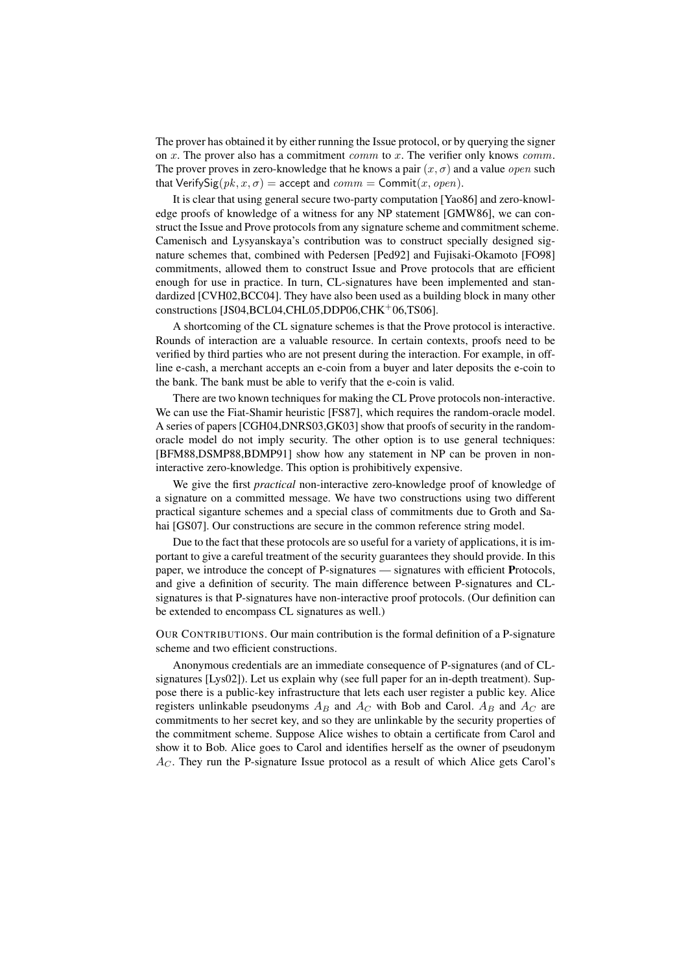The prover has obtained it by either running the Issue protocol, or by querying the signer on x. The prover also has a commitment comm to x. The verifier only knows comm. The prover proves in zero-knowledge that he knows a pair  $(x, \sigma)$  and a value *open* such that VerifySig( $pk, x, \sigma$ ) = accept and  $comm = \text{Commit}(x, open)$ .

It is clear that using general secure two-party computation [Yao86] and zero-knowledge proofs of knowledge of a witness for any NP statement [GMW86], we can construct the Issue and Prove protocols from any signature scheme and commitment scheme. Camenisch and Lysyanskaya's contribution was to construct specially designed signature schemes that, combined with Pedersen [Ped92] and Fujisaki-Okamoto [FO98] commitments, allowed them to construct Issue and Prove protocols that are efficient enough for use in practice. In turn, CL-signatures have been implemented and standardized [CVH02,BCC04]. They have also been used as a building block in many other constructions [JS04,BCL04,CHL05,DDP06,CHK+06,TS06].

A shortcoming of the CL signature schemes is that the Prove protocol is interactive. Rounds of interaction are a valuable resource. In certain contexts, proofs need to be verified by third parties who are not present during the interaction. For example, in offline e-cash, a merchant accepts an e-coin from a buyer and later deposits the e-coin to the bank. The bank must be able to verify that the e-coin is valid.

There are two known techniques for making the CL Prove protocols non-interactive. We can use the Fiat-Shamir heuristic [FS87], which requires the random-oracle model. A series of papers [CGH04,DNRS03,GK03] show that proofs of security in the randomoracle model do not imply security. The other option is to use general techniques: [BFM88,DSMP88,BDMP91] show how any statement in NP can be proven in noninteractive zero-knowledge. This option is prohibitively expensive.

We give the first *practical* non-interactive zero-knowledge proof of knowledge of a signature on a committed message. We have two constructions using two different practical siganture schemes and a special class of commitments due to Groth and Sahai [GS07]. Our constructions are secure in the common reference string model.

Due to the fact that these protocols are so useful for a variety of applications, it is important to give a careful treatment of the security guarantees they should provide. In this paper, we introduce the concept of P-signatures — signatures with efficient Protocols, and give a definition of security. The main difference between P-signatures and CLsignatures is that P-signatures have non-interactive proof protocols. (Our definition can be extended to encompass CL signatures as well.)

OUR CONTRIBUTIONS. Our main contribution is the formal definition of a P-signature scheme and two efficient constructions.

Anonymous credentials are an immediate consequence of P-signatures (and of CLsignatures [Lys02]). Let us explain why (see full paper for an in-depth treatment). Suppose there is a public-key infrastructure that lets each user register a public key. Alice registers unlinkable pseudonyms  $A_B$  and  $A_C$  with Bob and Carol.  $A_B$  and  $A_C$  are commitments to her secret key, and so they are unlinkable by the security properties of the commitment scheme. Suppose Alice wishes to obtain a certificate from Carol and show it to Bob. Alice goes to Carol and identifies herself as the owner of pseudonym  $A_C$ . They run the P-signature Issue protocol as a result of which Alice gets Carol's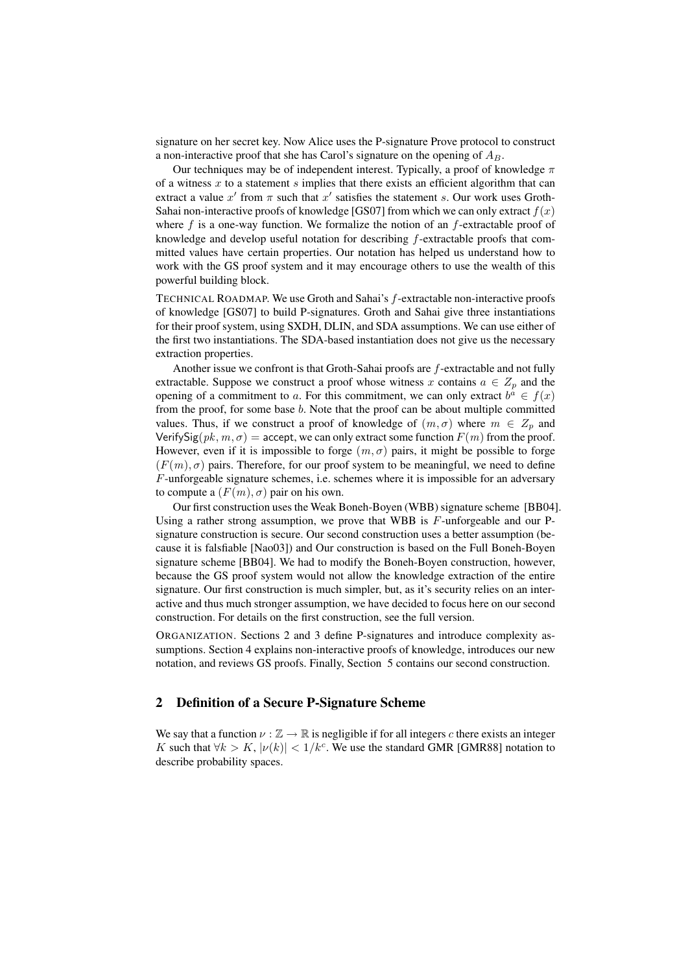signature on her secret key. Now Alice uses the P-signature Prove protocol to construct a non-interactive proof that she has Carol's signature on the opening of  $A_B$ .

Our techniques may be of independent interest. Typically, a proof of knowledge  $\pi$ of a witness  $x$  to a statement  $s$  implies that there exists an efficient algorithm that can extract a value x' from  $\pi$  such that x' satisfies the statement s. Our work uses Groth-Sahai non-interactive proofs of knowledge [GS07] from which we can only extract  $f(x)$ where  $f$  is a one-way function. We formalize the notion of an  $f$ -extractable proof of knowledge and develop useful notation for describing  $f$ -extractable proofs that committed values have certain properties. Our notation has helped us understand how to work with the GS proof system and it may encourage others to use the wealth of this powerful building block.

TECHNICAL ROADMAP. We use Groth and Sahai's f-extractable non-interactive proofs of knowledge [GS07] to build P-signatures. Groth and Sahai give three instantiations for their proof system, using SXDH, DLIN, and SDA assumptions. We can use either of the first two instantiations. The SDA-based instantiation does not give us the necessary extraction properties.

Another issue we confront is that Groth-Sahai proofs are f-extractable and not fully extractable. Suppose we construct a proof whose witness x contains  $a \in Z_p$  and the opening of a commitment to a. For this commitment, we can only extract  $b^a \in f(x)$ from the proof, for some base b. Note that the proof can be about multiple committed values. Thus, if we construct a proof of knowledge of  $(m, \sigma)$  where  $m \in Z_n$  and VerifySig( $pk, m, \sigma$ ) = accept, we can only extract some function  $F(m)$  from the proof. However, even if it is impossible to forge  $(m, \sigma)$  pairs, it might be possible to forge  $(F(m), \sigma)$  pairs. Therefore, for our proof system to be meaningful, we need to define F-unforgeable signature schemes, i.e. schemes where it is impossible for an adversary to compute a  $(F(m), \sigma)$  pair on his own.

Our first construction uses the Weak Boneh-Boyen (WBB) signature scheme [BB04]. Using a rather strong assumption, we prove that WBB is  $F$ -unforgeable and our Psignature construction is secure. Our second construction uses a better assumption (because it is falsfiable [Nao03]) and Our construction is based on the Full Boneh-Boyen signature scheme [BB04]. We had to modify the Boneh-Boyen construction, however, because the GS proof system would not allow the knowledge extraction of the entire signature. Our first construction is much simpler, but, as it's security relies on an interactive and thus much stronger assumption, we have decided to focus here on our second construction. For details on the first construction, see the full version.

ORGANIZATION. Sections 2 and 3 define P-signatures and introduce complexity assumptions. Section 4 explains non-interactive proofs of knowledge, introduces our new notation, and reviews GS proofs. Finally, Section 5 contains our second construction.

## 2 Definition of a Secure P-Signature Scheme

We say that a function  $\nu : \mathbb{Z} \to \mathbb{R}$  is negligible if for all integers c there exists an integer K such that  $\forall k > K$ ,  $|\nu(k)| < 1/k^c$ . We use the standard GMR [GMR88] notation to describe probability spaces.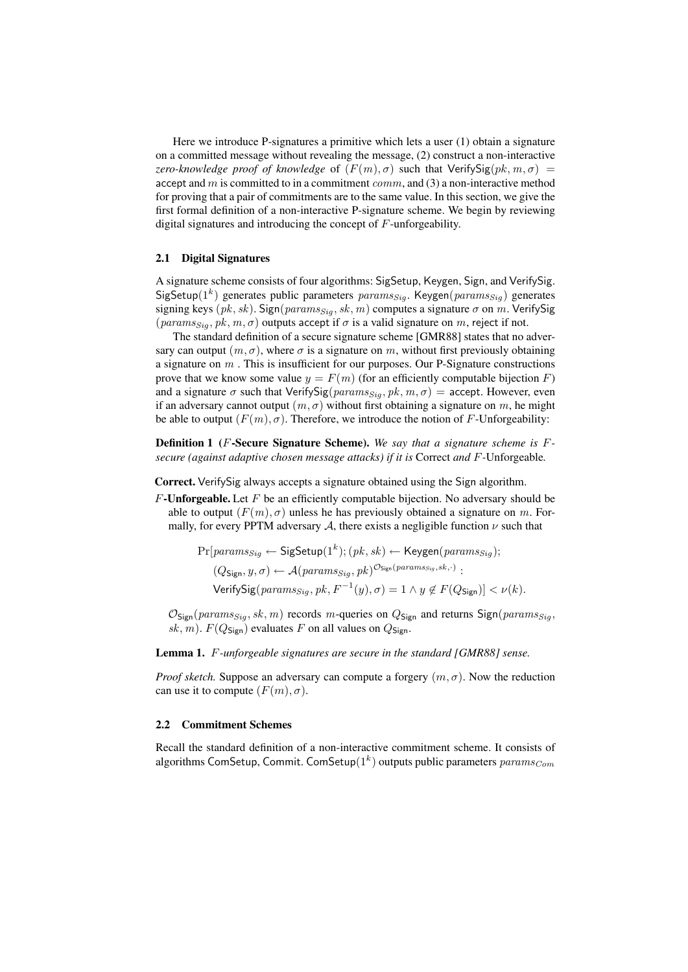Here we introduce P-signatures a primitive which lets a user (1) obtain a signature on a committed message without revealing the message, (2) construct a non-interactive *zero-knowledge proof of knowledge* of  $(F(m), \sigma)$  such that VerifySig $(pk, m, \sigma)$  = accept and  $m$  is committed to in a commitment  $comm$ , and (3) a non-interactive method for proving that a pair of commitments are to the same value. In this section, we give the first formal definition of a non-interactive P-signature scheme. We begin by reviewing digital signatures and introducing the concept of F-unforgeability.

#### 2.1 Digital Signatures

A signature scheme consists of four algorithms: SigSetup, Keygen, Sign, and VerifySig. SigSetup( $1^k$ ) generates public parameters  $params_{Sig}$ . Keygen( $params_{Sig}$ ) generates signing keys (pk, sk). Sign( $params_{Siq}$ , sk, m) computes a signature  $\sigma$  on m. VerifySig ( $params_{Sia}, pk, m, \sigma$ ) outputs accept if  $\sigma$  is a valid signature on m, reject if not.

The standard definition of a secure signature scheme [GMR88] states that no adversary can output  $(m, \sigma)$ , where  $\sigma$  is a signature on m, without first previously obtaining a signature on  $m$ . This is insufficient for our purposes. Our P-Signature constructions prove that we know some value  $y = F(m)$  (for an efficiently computable bijection F) and a signature  $\sigma$  such that VerifySig( $params_{Siq}, pk, m, \sigma$ ) = accept. However, even if an adversary cannot output  $(m, \sigma)$  without first obtaining a signature on m, he might be able to output  $(F(m), \sigma)$ . Therefore, we introduce the notion of F-Unforgeability:

Definition 1 (F-Secure Signature Scheme). *We say that a signature scheme is* F*secure (against adaptive chosen message attacks) if it is* Correct *and* F*-*Unforgeable*.*

Correct. VerifySig always accepts a signature obtained using the Sign algorithm.

 $F$ -Unforgeable. Let  $F$  be an efficiently computable bijection. No adversary should be able to output  $(F(m), \sigma)$  unless he has previously obtained a signature on m. Formally, for every PPTM adversary A, there exists a negligible function  $\nu$  such that

$$
\Pr[params_{Sig} \leftarrow \mathsf{SigSetup}(1^k); (pk, sk) \leftarrow \mathsf{Keygen}(params_{Sig});
$$
  

$$
(Q_{\mathsf{Sign}}, y, \sigma) \leftarrow \mathcal{A}(params_{Sig}, pk)^{\mathcal{O}_{\mathsf{Sign}}(params_{Sig}, sk, \cdot)}:
$$
  
Verify
$$
\mathsf{VerifySig}(params_{Sig}, pk, F^{-1}(y), \sigma) = 1 \land y \notin F(Q_{\mathsf{Sign}})] < \nu(k).
$$

 $\mathcal{O}_{\text{Sign}}(params_{Sig}, sk, m)$  records m-queries on  $Q_{\text{Sign}}$  and returns  $\text{Sign}(params_{Sig}, s)$ sk, m).  $F(Q_{Sign})$  evaluates F on all values on  $Q_{Sign}$ .

Lemma 1. F*-unforgeable signatures are secure in the standard [GMR88] sense.*

*Proof sketch.* Suppose an adversary can compute a forgery  $(m, \sigma)$ . Now the reduction can use it to compute  $(F(m), \sigma)$ .

### 2.2 Commitment Schemes

Recall the standard definition of a non-interactive commitment scheme. It consists of algorithms ComSetup, Commit. ComSetup $(1^k)$  outputs public parameters  $params_{Com}$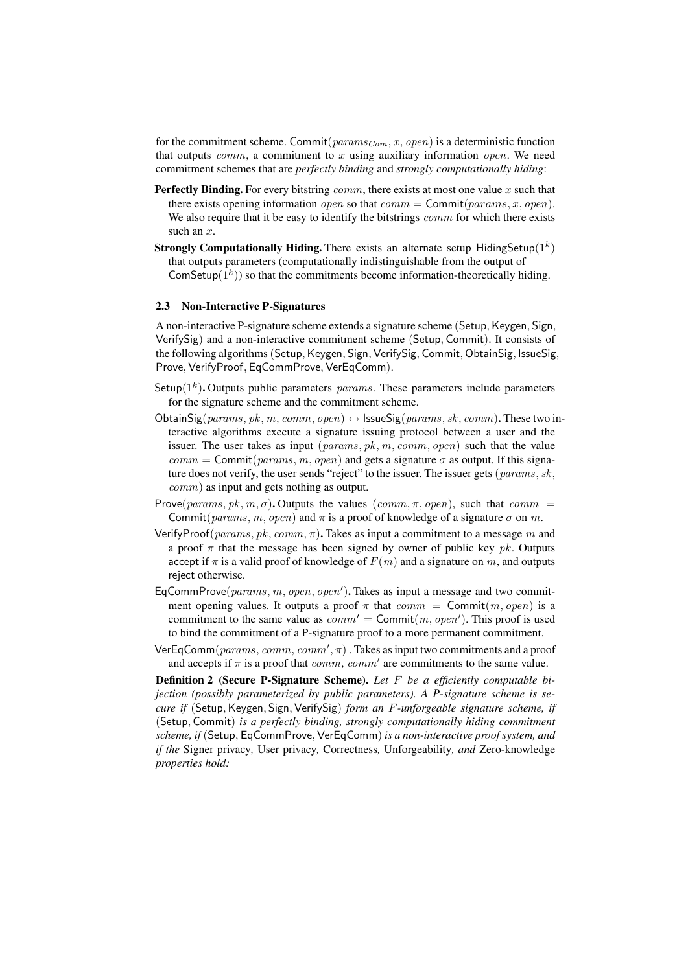for the commitment scheme. Commit( $params_{Com}$ , x, open) is a deterministic function that outputs  $comm$ , a commitment to x using auxiliary information *open*. We need commitment schemes that are *perfectly binding* and *strongly computationally hiding*:

- **Perfectly Binding.** For every bitstring  $comm$ , there exists at most one value x such that there exists opening information *open* so that  $comm = \text{Commit}(params, x, open).$ We also require that it be easy to identify the bitstrings  $comm$  for which there exists such an x.
- Strongly Computationally Hiding. There exists an alternate setup HidingSetup $(1^k)$ that outputs parameters (computationally indistinguishable from the output of ComSetup $(1^k)$ ) so that the commitments become information-theoretically hiding.

### 2.3 Non-Interactive P-Signatures

A non-interactive P-signature scheme extends a signature scheme (Setup, Keygen, Sign, VerifySig) and a non-interactive commitment scheme (Setup, Commit). It consists of the following algorithms (Setup, Keygen, Sign, VerifySig, Commit, ObtainSig, IssueSig, Prove, VerifyProof, EqCommProve, VerEqComm).

- Setup( $1<sup>k</sup>$ ). Outputs public parameters *params*. These parameters include parameters for the signature scheme and the commitment scheme.
- ObtainSig(params, pk, m, comm, open)  $\leftrightarrow$  IssueSig(params, sk, comm). These two interactive algorithms execute a signature issuing protocol between a user and the issuer. The user takes as input  $(\text{params}, \text{pk}, \text{m}, \text{comm}, \text{open})$  such that the value  $comm = \text{Commit}(params, m, open)$  and gets a signature  $\sigma$  as output. If this signature does not verify, the user sends "reject" to the issuer. The issuer gets ( $params, sk$ , comm) as input and gets nothing as output.
- Prove(params, pk, m,  $\sigma$ ). Outputs the values (comm,  $\pi$ , open), such that comm = Commit(params, m, open) and  $\pi$  is a proof of knowledge of a signature  $\sigma$  on m.
- VerifyProof( $params, pk, comm, π$ ). Takes as input a commitment to a message m and a proof  $\pi$  that the message has been signed by owner of public key pk. Outputs accept if  $\pi$  is a valid proof of knowledge of  $F(m)$  and a signature on m, and outputs reject otherwise.
- EqCommProve( $params, m, open, open'$ ). Takes as input a message and two commitment opening values. It outputs a proof  $\pi$  that  $comm = \text{Commit}(m, open)$  is a commitment to the same value as  $comm' = \text{Commit}(m, open')$ . This proof is used to bind the commitment of a P-signature proof to a more permanent commitment.
- VerEqComm $(\text{params}, \text{comm}, \text{comm}', \pi)$  . Takes as input two commitments and a proof and accepts if  $\pi$  is a proof that *comm*, *comm'* are commitments to the same value.

Definition 2 (Secure P-Signature Scheme). *Let* F *be a efficiently computable bijection (possibly parameterized by public parameters). A P-signature scheme is secure if* (Setup, Keygen, Sign, VerifySig) *form an F-unforgeable signature scheme, if* (Setup, Commit) *is a perfectly binding, strongly computationally hiding commitment scheme, if* (Setup, EqCommProve,VerEqComm) *is a non-interactive proof system, and if the* Signer privacy*,* User privacy*,* Correctness*,* Unforgeability*, and* Zero-knowledge *properties hold:*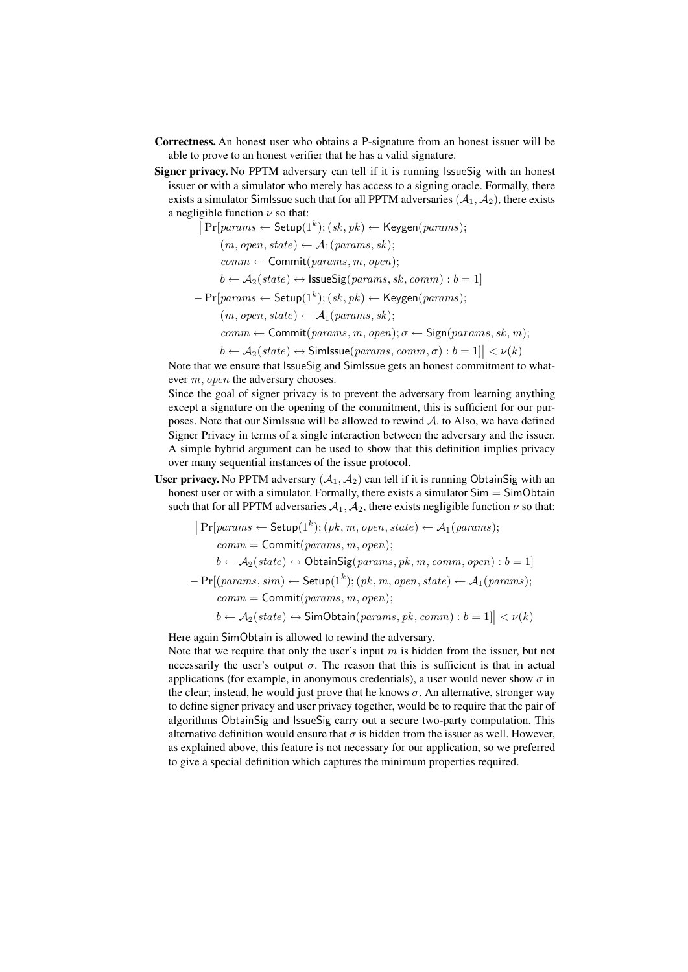- Correctness. An honest user who obtains a P-signature from an honest issuer will be able to prove to an honest verifier that he has a valid signature.
- Signer privacy. No PPTM adversary can tell if it is running IssueSig with an honest issuer or with a simulator who merely has access to a signing oracle. Formally, there exists a simulator SimIssue such that for all PPTM adversaries  $(A_1, A_2)$ , there exists a negligible function  $\nu$  so that:

$$
Pr[params \leftarrow \mathsf{Setup}(1^k); (sk, pk) \leftarrow \mathsf{Keygen}(params);
$$

 $(m, open, state) \leftarrow A_1(params, sk);$ 

 $comm \leftarrow$  Commit(params, m, open);

 $b \leftarrow A_2(state) \leftrightarrow \text{lssueSig(params, sk, comm): } b = 1$ 

 $-Pr[params \leftarrow \mathsf{Setup}(1^k); (sk, pk) \leftarrow \mathsf{Keygen}(params);$ 

 $(m, open, state) \leftarrow A_1(params, sk);$ 

 $comm \leftarrow$  Commit(params, m, open);  $\sigma \leftarrow$  Sign(params, sk, m);

 $b \leftarrow A_2(state) \leftrightarrow \text{Simissue}(params, comm, \sigma) : b = 1] \vert \lt \nu(k)$ 

Note that we ensure that IssueSig and SimIssue gets an honest commitment to whatever m, open the adversary chooses.

Since the goal of signer privacy is to prevent the adversary from learning anything except a signature on the opening of the commitment, this is sufficient for our purposes. Note that our SimIssue will be allowed to rewind A. to Also, we have defined Signer Privacy in terms of a single interaction between the adversary and the issuer. A simple hybrid argument can be used to show that this definition implies privacy over many sequential instances of the issue protocol.

User privacy. No PPTM adversary  $(A_1, A_2)$  can tell if it is running ObtainSig with an honest user or with a simulator. Formally, there exists a simulator  $Sim = SimObtain$ such that for all PPTM adversaries  $A_1$ ,  $A_2$ , there exists negligible function  $\nu$  so that:

$$
|\Pr[params \leftarrow \textsf{Setup}(1^k); (pk, m, open, state) \leftarrow A_1(params);
$$
  
comm = Commit(params, m, open);  

$$
b \leftarrow A_2(state) \leftrightarrow \textsf{ObtainSig(params, pk, m, comm, open)}: b = 1]
$$

$$
-\Pr[(params, sim) \leftarrow \textsf{Setup}(1^k); (pk, m, open, state) \leftarrow A_1(params);
$$

$$
comm = \textsf{Commit}(params, m, open);
$$

$$
b \leftarrow A_2(state) \leftrightarrow \textsf{SimObtain}(params, pk, comm): b = 1] < \nu(k)
$$

Here again SimObtain is allowed to rewind the adversary.

Note that we require that only the user's input  $m$  is hidden from the issuer, but not necessarily the user's output  $\sigma$ . The reason that this is sufficient is that in actual applications (for example, in anonymous credentials), a user would never show  $\sigma$  in the clear; instead, he would just prove that he knows  $\sigma$ . An alternative, stronger way to define signer privacy and user privacy together, would be to require that the pair of algorithms ObtainSig and IssueSig carry out a secure two-party computation. This alternative definition would ensure that  $\sigma$  is hidden from the issuer as well. However, as explained above, this feature is not necessary for our application, so we preferred to give a special definition which captures the minimum properties required.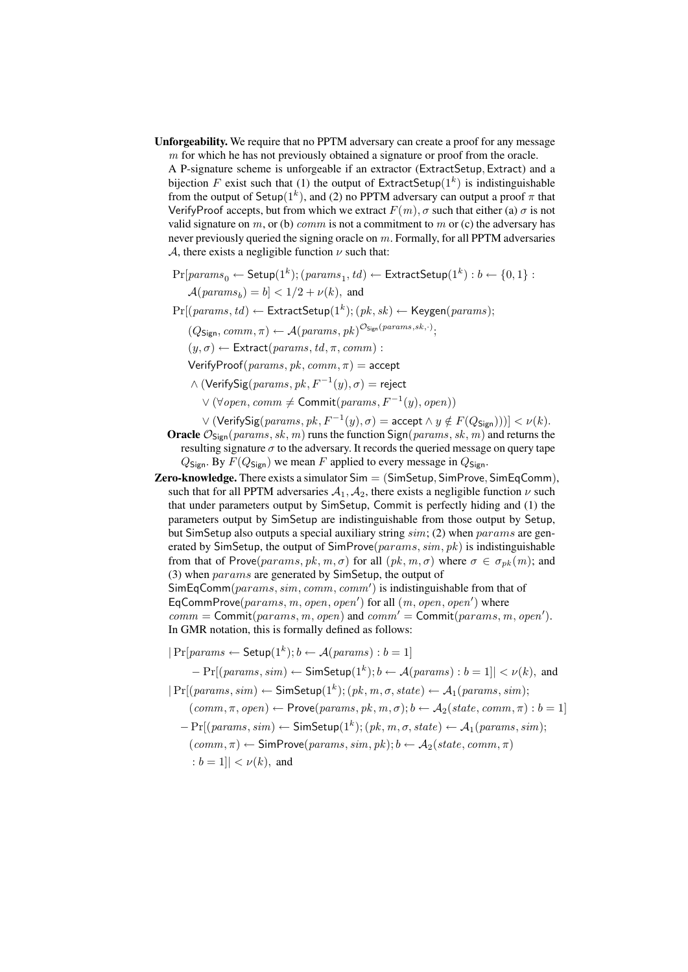Unforgeability. We require that no PPTM adversary can create a proof for any message m for which he has not previously obtained a signature or proof from the oracle.

A P-signature scheme is unforgeable if an extractor (ExtractSetup, Extract) and a bijection F exist such that (1) the output of ExtractSetup( $1<sup>k</sup>$ ) is indistinguishable from the output of Setup( $1<sup>k</sup>$ ), and (2) no PPTM adversary can output a proof  $\pi$  that VerifyProof accepts, but from which we extract  $F(m)$ ,  $\sigma$  such that either (a)  $\sigma$  is not valid signature on m, or (b) comm is not a commitment to m or (c) the adversary has never previously queried the signing oracle on m. Formally, for all PPTM adversaries A, there exists a negligible function  $\nu$  such that:

 $\Pr[params_0 \leftarrow \mathsf{Setup}(1^k); (params_1, td) \leftarrow \mathsf{ExtractSetup}(1^k): b \leftarrow \{0,1\}$  :  $\mathcal{A}(params_b) = b \vert < 1/2 + \nu(k),$  and

 $Pr[(params, td) \leftarrow$  ExtractSetup $(1^k); (pk, sk) \leftarrow$  Keygen $(params);$ 

 $(Q_{\mathsf{Sign}}, \textit{comm}, \pi) \leftarrow \mathcal{A}(\textit{params}, \textit{pk})^{\mathcal{O}_{\mathsf{Sign}}(\textit{params}, \textit{sk}, \cdot)}$ 

 $(y, \sigma) \leftarrow$  Extract(params, td,  $\pi$ , comm):

VerifyProof( $params, pk, comm, \pi$ ) = accept

 $\wedge$  (VerifySig $(\text{params}, \text{pk}, \text{F}^{-1}(y), \sigma) = \text{reject}$ 

 $\vee$  (∀open, comm  $\neq$  Commit(params,  $F^{-1}(y)$ , open))

- $\vee$   $(\mathsf{VerifySig}({\itparams}, {\it pk}, F^{-1}(y), \sigma) = \mathsf{accept} \wedge y \notin F(Q_{\mathsf{Sign}}))) \le \nu(k).$ **Oracle**  $\mathcal{O}_{Sign}(params, sk, m)$  runs the function  $Sign(params, sk, m)$  and returns the resulting signature  $\sigma$  to the adversary. It records the queried message on query tape  $Q_{Sign}$ . By  $F(Q_{Sign})$  we mean F applied to every message in  $Q_{Sign}$ .
- **Zero-knowledge.** There exists a simulator  $Sim = (SimSetup, SimProve, SimEqComm)$ , such that for all PPTM adversaries  $A_1, A_2$ , there exists a negligible function  $\nu$  such that under parameters output by SimSetup, Commit is perfectly hiding and (1) the parameters output by SimSetup are indistinguishable from those output by Setup, but SimSetup also outputs a special auxiliary string sim; (2) when params are generated by SimSetup, the output of SimProve( $params, sim, pk$ ) is indistinguishable from that of Prove(params, pk, m,  $\sigma$ ) for all  $(pk, m, \sigma)$  where  $\sigma \in \sigma_{nk}(m)$ ; and (3) when params are generated by SimSetup, the output of  $\textsf{SimEqComm}(params, sim, comm, comm')$  is indistinguishable from that of EqCommProve $(params, m, open, open')$  for all  $(m, open, open')$  where  $comm = \text{Commit}(params, m, open)$  and  $comm' = \text{Commit}(params, m, open').$

In GMR notation, this is formally defined as follows:

 $|Pr[params \leftarrow Setup(1<sup>k</sup>); b \leftarrow A(params): b = 1]$ 

 $-Pr[(params, sim) \leftarrow$  SimSetup $(1<sup>k</sup>)$ ;  $b \leftarrow A(params) : b = 1] < v(k)$ , and

 $|Pr[(params, sim) \leftarrow$  SimSetup $(1<sup>k</sup>); (pk, m, \sigma, state) \leftarrow A_1(params, sim);$ 

- $(comm, \pi, open) \leftarrow Prove(params, pk, m, \sigma); b \leftarrow A_2(state, comm, \pi): b = 1$
- $-Pr[(params, sim) \leftarrow$  SimSetup $(1^k)$ ;  $(pk, m, \sigma, state) \leftarrow A_1(params, sim)$ ;  $(\textit{comm}, \pi) \leftarrow \textsf{SimProve}(\textit{params}, \textit{sim}, \textit{pk})$ ;  $b \leftarrow A_2(\textit{state}, \textit{comm}, \pi)$ :  $b = 1$ ]  $< \nu(k)$ , and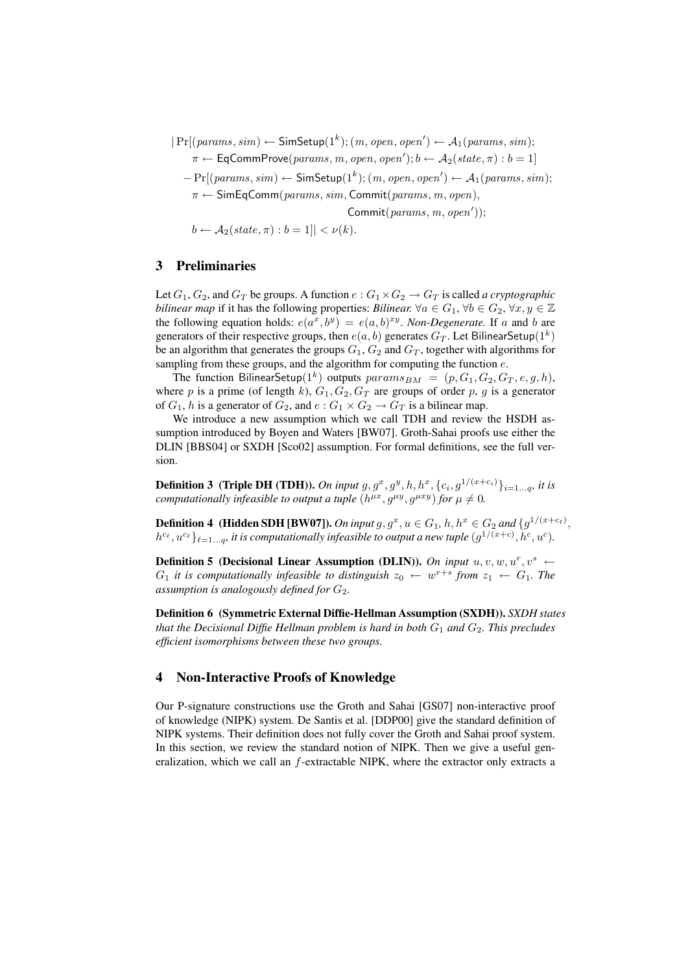$|Pr[(params, sim) \leftarrow$  SimSetup $(1<sup>k</sup>); (m, open, open') \leftarrow A_1(params, sim);$ 

 $\pi \leftarrow \textsf{EqCommProve}(params, m, open, open'); b \leftarrow \mathcal{A}_2(state, \pi): b = 1]$ 

 $-Pr[(params, sim) \leftarrow$  SimSetup $(1<sup>k</sup>)$ ;  $(m, open, open') \leftarrow A_1(params, sim)$ ;

 $\pi \leftarrow$  SimEqComm(params, sim, Commit(params, m, open),

 $\text{Commit}(\textit{params}, \textit{m}, \textit{open}'));$ 

 $b \leftarrow A_2(state, \pi) : b = 1 || < \nu(k).$ 

## 3 Preliminaries

Let  $G_1, G_2$ , and  $G_T$  be groups. A function  $e : G_1 \times G_2 \to G_T$  is called *a cryptographic bilinear map* if it has the following properties: *Bilinear.*  $\forall a \in G_1$ ,  $\forall b \in G_2$ ,  $\forall x, y \in \mathbb{Z}$ the following equation holds:  $e(a^x, b^y) = e(a, b)^{xy}$ . *Non-Degenerate*. If a and b are generators of their respective groups, then  $e(a, b)$  generates  $G_T$ . Let BilinearSetup $(1^k)$ be an algorithm that generates the groups  $G_1, G_2$  and  $G_T$ , together with algorithms for sampling from these groups, and the algorithm for computing the function  $e$ .

The function BilinearSetup $(1^k)$  outputs  $params_{BM} = (p, G_1, G_2, G_T, e, g, h)$ , where p is a prime (of length k),  $G_1, G_2, G_T$  are groups of order p, g is a generator of  $G_1$ , h is a generator of  $G_2$ , and  $e: G_1 \times G_2 \rightarrow G_T$  is a bilinear map.

We introduce a new assumption which we call TDH and review the HSDH assumption introduced by Boyen and Waters [BW07]. Groth-Sahai proofs use either the DLIN [BBS04] or SXDH [Sco02] assumption. For formal definitions, see the full version.

**Definition 3** (Triple DH (TDH)). On input  $g, g^x, g^y, h, h^x, \{c_i, g^{1/(x+c_i)}\}_{i=1...q}$ , it is *computationally infeasible to output a tuple*  $(h^{\mu x}, g^{\mu y}, g^{\mu xy})$  *for*  $\mu \neq 0$ *.* 

**Definition 4** (Hidden SDH [BW07]). On input  $g, g^x, u \in G_1$ ,  $h, h^x \in G_2$  and  $\{g^{1/(x+c_{\ell})},$  $h^{c_{\ell}}, u^{c_{\ell}}\}_{\ell=1...q}$ , it is computationally infeasible to output a new tuple  $(g^{1/(x+c)}, h^{c}, u^{c})$ .

**Definition 5 (Decisional Linear Assumption (DLIN)).** On input  $u, v, w, u^r, v^s \leftarrow$  $G_1$  *it is computationally infeasible to distinguish*  $z_0 \leftarrow w^{r+s}$  *from*  $z_1 \leftarrow G_1$ *. The assumption is analogously defined for*  $G_2$ .

Definition 6 (Symmetric External Diffie-Hellman Assumption (SXDH)). *SXDH states that the Decisional Diffie Hellman problem is hard in both*  $G_1$  *and*  $G_2$ *. This precludes efficient isomorphisms between these two groups.*

## 4 Non-Interactive Proofs of Knowledge

Our P-signature constructions use the Groth and Sahai [GS07] non-interactive proof of knowledge (NIPK) system. De Santis et al. [DDP00] give the standard definition of NIPK systems. Their definition does not fully cover the Groth and Sahai proof system. In this section, we review the standard notion of NIPK. Then we give a useful generalization, which we call an f-extractable NIPK, where the extractor only extracts a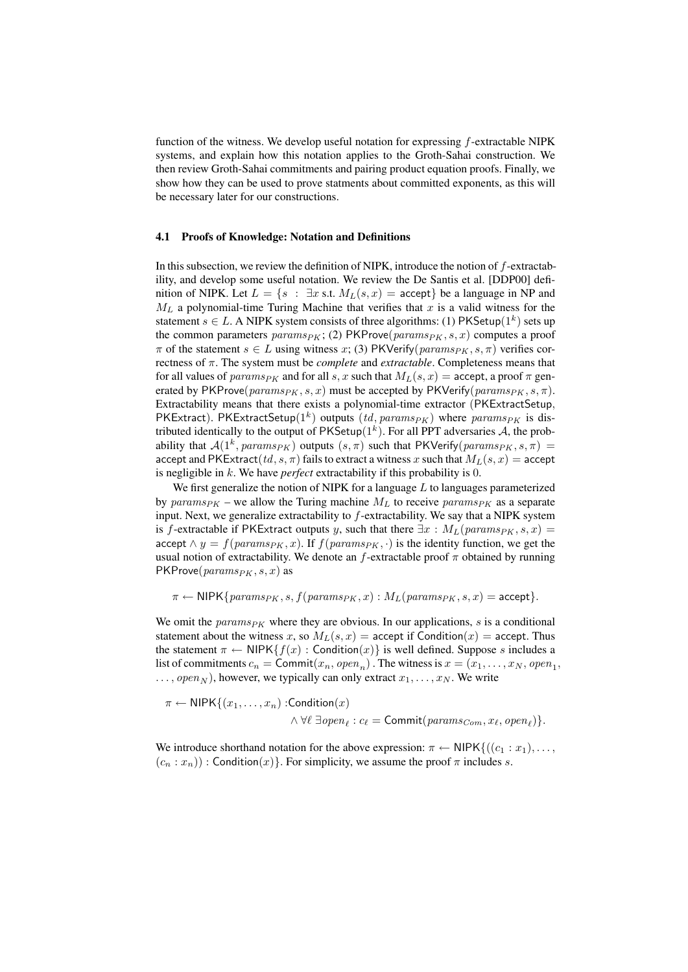function of the witness. We develop useful notation for expressing  $f$ -extractable NIPK systems, and explain how this notation applies to the Groth-Sahai construction. We then review Groth-Sahai commitments and pairing product equation proofs. Finally, we show how they can be used to prove statments about committed exponents, as this will be necessary later for our constructions.

#### 4.1 Proofs of Knowledge: Notation and Definitions

In this subsection, we review the definition of NIPK, introduce the notion of  $f$ -extractability, and develop some useful notation. We review the De Santis et al. [DDP00] definition of NIPK. Let  $L = \{s : \exists x \text{ s.t. } M_L(s, x) = \text{accept}\}\$  be a language in NP and  $M_L$  a polynomial-time Turing Machine that verifies that x is a valid witness for the statement  $s \in L$ . A NIPK system consists of three algorithms: (1) PKSetup( $1^k$ ) sets up the common parameters  $params_{PK}$ ; (2) PKProve( $params_{PK}$ , s, x) computes a proof  $\pi$  of the statement  $s \in L$  using witness x; (3) PKVerify( $params_{PK}$ , s,  $\pi$ ) verifies correctness of π. The system must be *complete* and *extractable*. Completeness means that for all values of params<sub>PK</sub> and for all s, x such that  $M_L(s, x) =$  accept, a proof  $\pi$  generated by PKProve( $params_{PK}$ , s, x) must be accepted by PKVerify( $params_{PK}$ , s,  $\pi$ ). Extractability means that there exists a polynomial-time extractor (PKExtractSetup, PKExtract). PKExtractSetup( $1^k$ ) outputs  $(id,params_{PK})$  where  $params_{PK}$  is distributed identically to the output of  $PKSetup(1^k)$ . For all PPT adversaries A, the probability that  $A(1^k, params_{PK})$  outputs  $(s, \pi)$  such that PKVerify $(params_{PK}, s, \pi)$  = accept and PKExtract(td, s,  $\pi$ ) fails to extract a witness x such that  $M_L(s, x) =$  accept is negligible in k. We have *perfect* extractability if this probability is 0.

We first generalize the notion of NIPK for a language  $L$  to languages parameterized by params<sub>PK</sub> – we allow the Turing machine  $M_L$  to receive params<sub>PK</sub> as a separate input. Next, we generalize extractability to  $f$ -extractability. We say that a NIPK system is f-extractable if PKExtract outputs y, such that there  $\exists x : M_L(params_{PK}, s, x) =$ accept  $\wedge y = f(params_{PK}, x)$ . If  $f(params_{PK}, \cdot)$  is the identity function, we get the usual notion of extractability. We denote an f-extractable proof  $\pi$  obtained by running  $PKProve(params_{PK}, s, x)$  as

 $\pi \leftarrow \text{NIPK}\{\text{params}_{PK}, s, f(\text{params}_{PK}, x) : M_L(\text{params}_{PK}, s, x) = \text{accept}\}.$ 

We omit the  $params_{PK}$  where they are obvious. In our applications, s is a conditional statement about the witness x, so  $M_L(s, x) =$  accept if Condition $(x) =$  accept. Thus the statement  $\pi \leftarrow \text{NIPK}\{f(x) : \text{Condition}(x)\}\$ is well defined. Suppose s includes a list of commitments  $c_n = \text{Commit}(x_n, open_n)$ . The witness is  $x = (x_1, \dots, x_N, open_1,$  $\ldots$ , open<sub>N</sub>), however, we typically can only extract  $x_1, \ldots, x_N$ . We write

$$
\pi \leftarrow \text{NIPK}\{(x_1, \ldots, x_n) : \text{Condition}(x) \newline \land \forall \ell \exists open_\ell : c_\ell = \text{Commit}(params_{Com}, x_\ell, open_\ell)\}.
$$

We introduce shorthand notation for the above expression:  $\pi \leftarrow \text{NIPK}\{((c_1 : x_1), \ldots,$  $(c_n : x_n)$  : Condition $(x)$ . For simplicity, we assume the proof  $\pi$  includes s.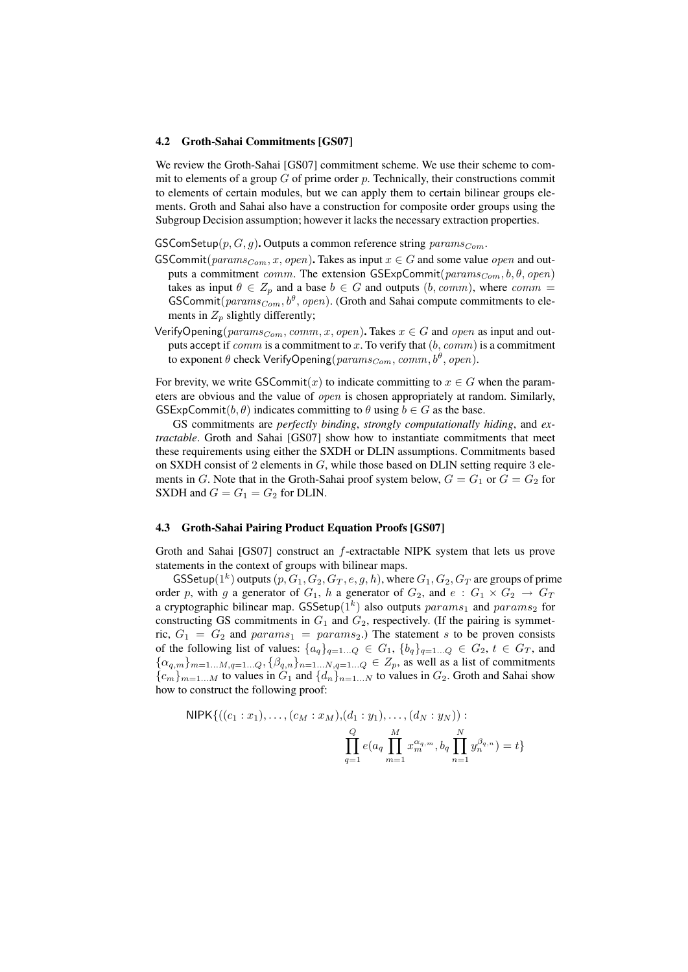#### 4.2 Groth-Sahai Commitments [GS07]

We review the Groth-Sahai [GS07] commitment scheme. We use their scheme to commit to elements of a group  $G$  of prime order  $p$ . Technically, their constructions commit to elements of certain modules, but we can apply them to certain bilinear groups elements. Groth and Sahai also have a construction for composite order groups using the Subgroup Decision assumption; however it lacks the necessary extraction properties.

GSComSetup $(p, G, g)$ . Outputs a common reference string  $params_{Com}$ .

- GSCommit( $params_{Com}$ , x, open). Takes as input  $x \in G$  and some value open and outputs a commitment comm. The extension GSExpCommit( $params_{Com}$ , b,  $\theta$ , open) takes as input  $\theta \in Z_p$  and a base  $b \in G$  and outputs  $(b, comm)$ , where  $comm =$ GSCommit ${\rm (params}_{Com}, b^{\theta}, {\rm open})$ . (Groth and Sahai compute commitments to elements in  $Z_p$  slightly differently;
- VerifyOpening( $params_{Com}$ ,  $comm$ ,  $x$ ,  $open$ ). Takes  $x \in G$  and  $open$  as input and outputs accept if  $comm$  is a commitment to x. To verify that  $(b, comm)$  is a commitment to exponent  $\theta$  check VerifyOpening $(\mathit{params}_{Com}, \mathit{comm}, b^\theta, \mathit{open}).$

For brevity, we write GSCommit $(x)$  to indicate committing to  $x \in G$  when the parameters are obvious and the value of *open* is chosen appropriately at random. Similarly,  $GSExpCommit(b, \theta)$  indicates committing to  $\theta$  using  $b \in G$  as the base.

GS commitments are *perfectly binding*, *strongly computationally hiding*, and *extractable*. Groth and Sahai [GS07] show how to instantiate commitments that meet these requirements using either the SXDH or DLIN assumptions. Commitments based on SXDH consist of 2 elements in  $G$ , while those based on DLIN setting require 3 elements in G. Note that in the Groth-Sahai proof system below,  $G = G_1$  or  $G = G_2$  for SXDH and  $G = G_1 = G_2$  for DLIN.

## 4.3 Groth-Sahai Pairing Product Equation Proofs [GS07]

Groth and Sahai [GS07] construct an f-extractable NIPK system that lets us prove statements in the context of groups with bilinear maps.

GSSetup( $1^k$ ) outputs (p,  $G_1, G_2, G_T, e, g, h$ ), where  $G_1, G_2, G_T$  are groups of prime order p, with g a generator of  $G_1$ , h a generator of  $G_2$ , and  $e : G_1 \times G_2 \rightarrow G_T$ a cryptographic bilinear map. GSSetup $(1^k)$  also outputs  $params_1$  and  $params_2$  for constructing GS commitments in  $G_1$  and  $G_2$ , respectively. (If the pairing is symmetric,  $G_1 = G_2$  and  $params_1 = params_2$ .) The statement s to be proven consists of the following list of values:  $\{a_q\}_{q=1...Q} \in G_1$ ,  $\{b_q\}_{q=1...Q} \in G_2$ ,  $t \in G_T$ , and  $\{\alpha_{q,m}\}_{m=1...M,q=1...Q}, \{\beta_{q,n}\}_{n=1...N,q=1...Q} \in Z_p$ , as well as a list of commitments  ${c_m}_{m=1...M}$  to values in  $G_1$  and  ${d_n}_{n=1...N}$  to values in  $G_2$ . Groth and Sahai show how to construct the following proof:

NIPK{((c<sub>1</sub> : x<sub>1</sub>),..., (c<sub>M</sub> : x<sub>M</sub>),(d<sub>1</sub> : y<sub>1</sub>),..., (d<sub>N</sub> : y<sub>N</sub>)):   
\n
$$
\prod_{q=1}^{Q} e(a_q \prod_{m=1}^{M} x_m^{\alpha_q,m}, b_q \prod_{n=1}^{N} y_n^{\beta_q,n}) = t
$$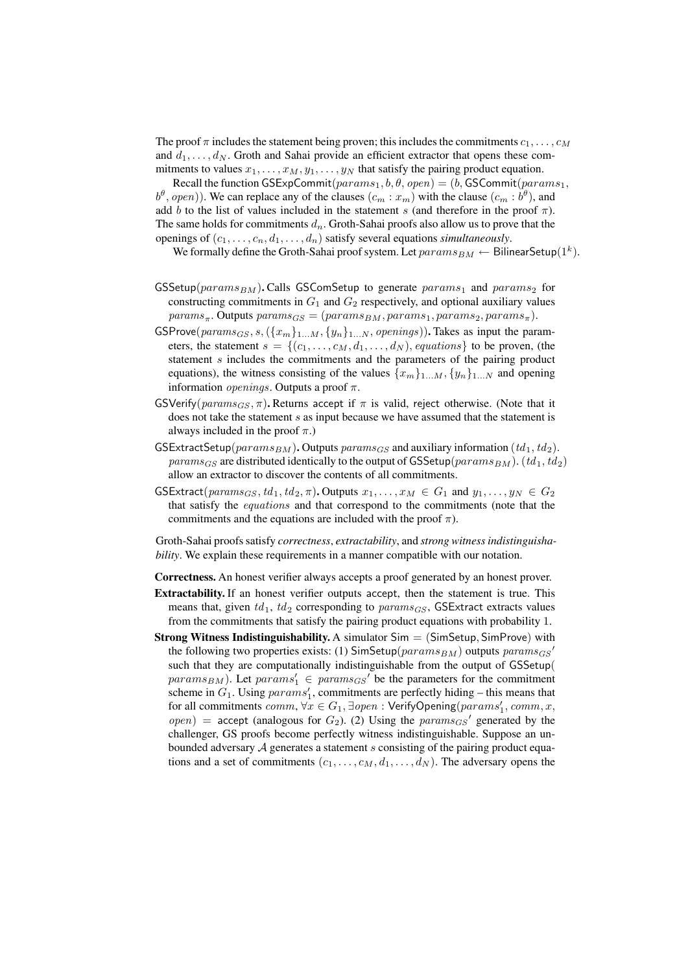The proof  $\pi$  includes the statement being proven; this includes the commitments  $c_1, \ldots, c_M$ and  $d_1, \ldots, d_N$ . Groth and Sahai provide an efficient extractor that opens these commitments to values  $x_1, \ldots, x_M, y_1, \ldots, y_N$  that satisfy the pairing product equation.

Recall the function GSExpCommit( $params_1, b, \theta, open) = (b, GSCommit(params_1,$  $(b^{\theta}, open))$ . We can replace any of the clauses  $(c_m : x_m)$  with the clause  $(c_m : b^{\theta})$ , and add b to the list of values included in the statement s (and therefore in the proof  $\pi$ ). The same holds for commitments  $d_n$ . Groth-Sahai proofs also allow us to prove that the openings of  $(c_1, \ldots, c_n, d_1, \ldots, d_n)$  satisfy several equations *simultaneously*.

We formally define the Groth-Sahai proof system. Let  $params_{BM} \leftarrow$  BilinearSetup(1<sup>k</sup>).

- $GSSetup(params_{BM})$ . Calls GSComSetup to generate  $params_1$  and  $params_2$  for constructing commitments in  $G_1$  and  $G_2$  respectively, and optional auxiliary values  $params_{\pi}$ . Outputs  $params_{GS} = (params_{BM},params_{1},params_{2},params_{\pi}).$
- GSProve( $params_{GS}, s, (\{x_m\}_{1...M}, \{y_n\}_{1...N}, openings)$ ). Takes as input the parameters, the statement  $s = \{(c_1, \ldots, c_M, d_1, \ldots, d_N), \text{ equations}\}\)$  to be proven, (the statement s includes the commitments and the parameters of the pairing product equations), the witness consisting of the values  $\{x_m\}_{1...M}$ ,  $\{y_n\}_{1...N}$  and opening information  $openings$ . Outputs a proof  $\pi$ .
- GSVerify( $params_{GS}, \pi$ ). Returns accept if  $\pi$  is valid, reject otherwise. (Note that it does not take the statement s as input because we have assumed that the statement is always included in the proof  $\pi$ .)
- GSExtractSetup( $params_{BM}$ ). Outputs  $params_{GS}$  and auxiliary information ( $td_1, td_2$ ). params<sub>GS</sub> are distributed identically to the output of GSSetup(params<sub>BM</sub>). (td<sub>1</sub>, td<sub>2</sub>) allow an extractor to discover the contents of all commitments.
- $GSExtract(*params_{GS}, td_1, td_2, \pi*). Outputs  $x_1, \ldots, x_M \in G_1$  and  $y_1, \ldots, y_N \in G_2$$ that satisfy the equations and that correspond to the commitments (note that the commitments and the equations are included with the proof  $\pi$ ).

Groth-Sahai proofs satisfy *correctness*, *extractability*, and *strong witness indistinguishability*. We explain these requirements in a manner compatible with our notation.

Correctness. An honest verifier always accepts a proof generated by an honest prover.

- Extractability. If an honest verifier outputs accept, then the statement is true. This means that, given  $td_1$ ,  $td_2$  corresponding to  $params_{GS}$ , GSExtract extracts values from the commitments that satisfy the pairing product equations with probability 1.
- **Strong Witness Indistinguishability.** A simulator  $Sim = (SimSetup, SimProve)$  with the following two properties exists: (1)  $\mathsf{SimSetup}(params_{BM})$  outputs  $params_{GS}$ <sup>'</sup> such that they are computationally indistinguishable from the output of GSSetup(  $params_{BM}$ ). Let  $params_1' \in *params_{GS}'*$  be the parameters for the commitment scheme in  $G_1$ . Using  $params'_1$ , commitments are perfectly hiding – this means that for all commitments  $comm, \forall x \in G_1, \exists open : \mathsf{VerifyOpening}(params_1', comm, x,$  $open)$  = accept (analogous for  $G_2$ ). (2) Using the  $params_{GS}$ <sup>'</sup> generated by the challenger, GS proofs become perfectly witness indistinguishable. Suppose an unbounded adversary  $A$  generates a statement s consisting of the pairing product equations and a set of commitments  $(c_1, \ldots, c_M, d_1, \ldots, d_N)$ . The adversary opens the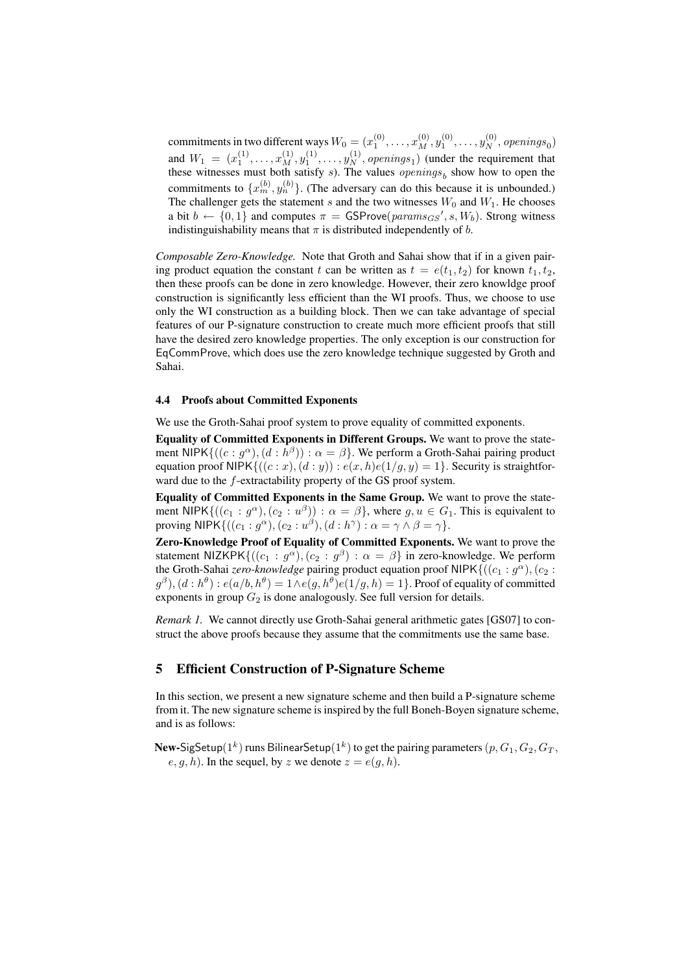commitments in two different ways  $W_0 = (x_1^{(0)}, \dots, x_M^{(0)}, y_1^{(0)}, \dots, y_N^{(0)},$  openings<sub>0</sub>) and  $W_1 = (x_1^{(1)}, \ldots, x_M^{(1)}, y_1^{(1)}, \ldots, y_N^{(1)},$  openings<sub>1</sub>) (under the requirement that these witnesses must both satisfy  $s$ ). The values  $openings_b$  show how to open the commitments to  $\{x_m^{(b)}, y_n^{(b)}\}$ . (The adversary can do this because it is unbounded.) The challenger gets the statement s and the two witnesses  $W_0$  and  $W_1$ . He chooses a bit  $b \leftarrow \{0, 1\}$  and computes  $\pi = \text{GSProve}(params_{GS}', s, W_b)$ . Strong witness indistinguishability means that  $\pi$  is distributed independently of b.

*Composable Zero-Knowledge.* Note that Groth and Sahai show that if in a given pairing product equation the constant t can be written as  $t = e(t_1, t_2)$  for known  $t_1, t_2$ , then these proofs can be done in zero knowledge. However, their zero knowldge proof construction is significantly less efficient than the WI proofs. Thus, we choose to use only the WI construction as a building block. Then we can take advantage of special features of our P-signature construction to create much more efficient proofs that still have the desired zero knowledge properties. The only exception is our construction for EqCommProve, which does use the zero knowledge technique suggested by Groth and Sahai.

#### 4.4 Proofs about Committed Exponents

We use the Groth-Sahai proof system to prove equality of committed exponents.

Equality of Committed Exponents in Different Groups. We want to prove the statement NIPK $\{((c: g^{\alpha}), (d: h^{\beta})) : \alpha = \beta\}$ . We perform a Groth-Sahai pairing product equation proof NIPK $\{((c : x), (d : y)) : e(x, h)e(1/g, y) = 1\}$ . Security is straightforward due to the f-extractability property of the GS proof system.

Equality of Committed Exponents in the Same Group. We want to prove the statement NIPK $\{((c_1: g^{\alpha}), (c_2: u^{\beta})) : \alpha = \beta\}$ , where  $g, u \in G_1$ . This is equivalent to proving NIPK $\{((c_1: g^\alpha), (c_2: u^\beta), (d: h^\gamma): \alpha = \gamma \wedge \beta = \gamma\}.$ 

Zero-Knowledge Proof of Equality of Committed Exponents. We want to prove the statement NIZKPK $\{((c_1 : g^{\alpha}), (c_2 : g^{\beta}) : \alpha = \beta\}$  in zero-knowledge. We perform the Groth-Sahai *zero-knowledge* pairing product equation proof NIPK $\{((c_1 : g^{\alpha}), (c_2 : g^{\beta})\}$  $(g^\beta),(d:h^\theta):e(a/b,h^\theta)=1$   $\wedge$   $e(g,h^\theta)e(1/g,h)=1\}$  . Proof of equality of committed exponents in group  $G_2$  is done analogously. See full version for details.

*Remark 1.* We cannot directly use Groth-Sahai general arithmetic gates [GS07] to construct the above proofs because they assume that the commitments use the same base.

## 5 Efficient Construction of P-Signature Scheme

In this section, we present a new signature scheme and then build a P-signature scheme from it. The new signature scheme is inspired by the full Boneh-Boyen signature scheme, and is as follows:

 ${\bf New}\text{-}\mathsf{SigSetup}(1^k)$  runs Bilinear $\mathsf{Setup}(1^k)$  to get the pairing parameters  $(p,G_1,G_2,G_T,$  $e, g, h$ ). In the sequel, by z we denote  $z = e(g, h)$ .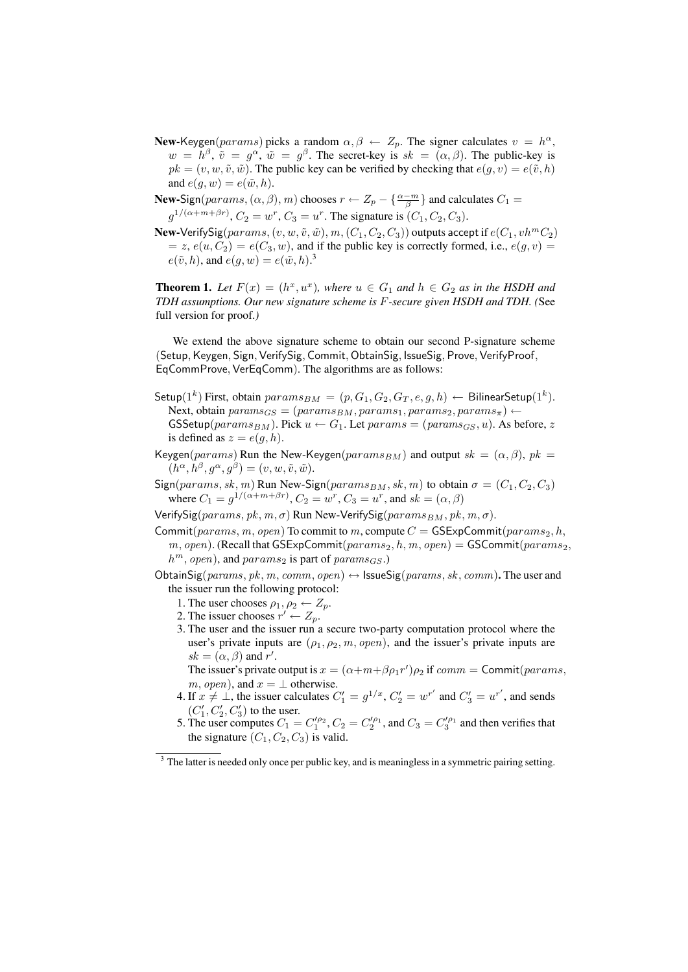- **New-Keygen**( $params$ ) picks a random  $\alpha, \beta \leftarrow Z_p$ . The signer calculates  $v = h^{\alpha}$ ,  $w = h^{\beta}, \tilde{v} = g^{\alpha}, \tilde{w} = g^{\beta}$ . The secret-key is  $sk = (\alpha, \beta)$ . The public-key is  $pk = (v, w, \tilde{v}, \tilde{w})$ . The public key can be verified by checking that  $e(g, v) = e(\tilde{v}, h)$ and  $e(g, w) = e(\tilde{w}, h)$ .
- **New-Sign**( $params$ ,  $(\alpha, \beta)$ ,  $m$ ) chooses  $r \leftarrow Z_p \{\frac{\alpha m}{\beta}\}\$  and calculates  $C_1 =$  $g^{1/(\alpha+m+\beta r)}$ ,  $C_2 = w^r$ ,  $C_3 = u^r$ . The signature is  $(C_1, C_2, C_3)$ .
- New-Verify Sig(params,  $(v, w, \tilde{v}, \tilde{w})$ , m,  $(C_1, C_2, C_3)$ ) outputs accept if  $e(C_1, v h^m C_2)$  $z, e(u, C_2) = e(C_3, w)$ , and if the public key is correctly formed, i.e.,  $e(g, v) =$  $e(\tilde{v}, h)$ , and  $e(g, w) = e(\tilde{w}, h)$ .<sup>3</sup>

**Theorem 1.** Let  $F(x) = (h^x, u^x)$ , where  $u \in G_1$  and  $h \in G_2$  as in the HSDH and *TDH assumptions. Our new signature scheme is* F*-secure given HSDH and TDH. (*See full version for proof.*)*

We extend the above signature scheme to obtain our second P-signature scheme (Setup, Keygen, Sign, VerifySig, Commit, ObtainSig, IssueSig, Prove, VerifyProof, EqCommProve, VerEqComm). The algorithms are as follows:

- $\mathsf{Setup}(1^k)$  First, obtain  $params_{BM} = (p, G_1, G_2, G_T, e, g, h) \leftarrow \mathsf{BilinearSetup}(1^k).$ Next, obtain  $params_{GS} = (params_{BM},params_{1},params_{2},params_{\pi}) \leftarrow$  $GSSetup(params_{BM})$ . Pick  $u \leftarrow G_1$ . Let  $params_S = (params_{GS}, u)$ . As before, z is defined as  $z = e(g, h)$ .
- Keygen(params) Run the New-Keygen(params<sub>BM</sub>) and output  $sk = (\alpha, \beta)$ ,  $pk =$  $(h^{\alpha}, h^{\beta}, g^{\alpha}, g^{\beta}) = (v, w, \tilde{v}, \tilde{w}).$
- Sign( $params, sk, m$ ) Run New-Sign( $params_{BM}, sk, m$ ) to obtain  $\sigma = (C_1, C_2, C_3)$ where  $C_1 = g^{1/(\alpha + m + \beta r)}$ ,  $C_2 = w^r$ ,  $C_3 = u^r$ , and  $sk = (\alpha, \beta)$
- VerifySig( $params, pk, m, \sigma$ ) Run New-VerifySig( $params_{BM}, pk, m, \sigma$ ).
- Commit(params, m, open) To commit to m, compute  $C = \mathsf{GSE}$  $x\mathsf{pCommit}(params_2, h,$  $m, open$ ). (Recall that GSExpCommit $(params_2, h, m, open) =$  GSCommit $(params_2,$  $h^m$ , open), and params<sub>2</sub> is part of params<sub>GS</sub>.)
- ObtainSig(params, pk, m, comm, open)  $\leftrightarrow$  IssueSig(params, sk, comm). The user and the issuer run the following protocol:
	- 1. The user chooses  $\rho_1, \rho_2 \leftarrow Z_p$ .
	- 2. The issuer chooses  $r' \leftarrow Z_p$ .
	- 3. The user and the issuer run a secure two-party computation protocol where the user's private inputs are  $(\rho_1, \rho_2, m, open)$ , and the issuer's private inputs are  $sk = (\alpha, \beta)$  and r'.

The issuer's private output is  $x = (\alpha + m + \beta \rho_1 r') \rho_2$  if  $comm = \text{Commit}(params,$  $m, open$ , and  $x = \perp$  otherwise.

- 4. If  $x \neq \perp$ , the issuer calculates  $C'_1 = g^{1/x}$ ,  $C'_2 = w^{r'}$  and  $C'_3 = u^{r'}$ , and sends  $\left(C_1^{\prime},C_2^{\prime},C_3^{\prime}\right)$  to the user.
- 5. The user computes  $C_1 = C_1^{/\rho_2}$ ,  $C_2 = C_2^{/\rho_1}$ , and  $C_3 = C_3^{/\rho_1}$  and then verifies that the signature  $(C_1, C_2, C_3)$  is valid.

 $3$  The latter is needed only once per public key, and is meaningless in a symmetric pairing setting.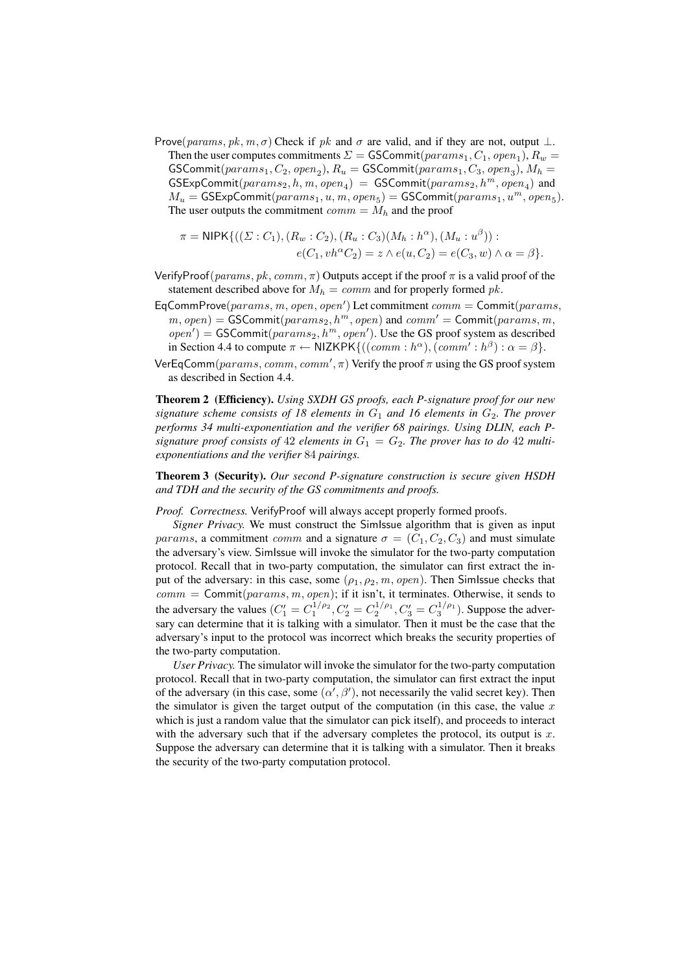Prove(params, pk, m,  $\sigma$ ) Check if pk and  $\sigma$  are valid, and if they are not, output  $\perp$ . Then the user computes commitments  $\Sigma = \textsf{GSCommit}(params_1, C_1, open_1), R_w =$  $\mathsf{GSCommit}(params_1, C_2, open_2), R_u = \mathsf{GSCommit}(params_1, C_3, open_3), M_h =$  $GSExpCommit(params_2, h, m, open_4) = GSCommit(params_2, h^m, open_4)$  and  $M_u = \textsf{GSExpCommit}(params_1, u, m, open_5) = \textsf{GSCommit}(params_1, u^m, open_5).$ The user outputs the commitment  $comm = M_h$  and the proof

$$
\pi = \text{NIPK}\{((\Sigma : C_1), (R_w : C_2), (R_u : C_3)(M_h : h^{\alpha}), (M_u : u^{\beta})) :\\e(C_1, vh^{\alpha}C_2) = z \wedge e(u, C_2) = e(C_3, w) \wedge \alpha = \beta\}.
$$

- VerifyProof( $params, pk, comm, \pi$ ) Outputs accept if the proof  $\pi$  is a valid proof of the statement described above for  $M_h = comm$  and for properly formed pk.
- EqCommProve $(params, m, open, open')$  Let commitment  $comm =$  Commit $(params,$  $m, open) = \text{GSCommit}(params_2, h^m, open)$  and  $comm' = \text{Commit}(params, m,$  $open') = \textsf{GSCommit}(params_2, h^m, open').$  Use the GS proof system as described in Section 4.4 to compute  $\pi \leftarrow \text{NIZKPK}\{((comm : h^{\alpha}), (comm' : h^{\beta}) : \alpha = \beta\}.$
- VerEqComm $(params, comm, comm', \pi)$  Verify the proof  $\pi$  using the GS proof system as described in Section 4.4.

Theorem 2 (Efficiency). *Using SXDH GS proofs, each P-signature proof for our new signature scheme consists of 18 elements in*  $G_1$  *and 16 elements in*  $G_2$ *. The prover performs 34 multi-exponentiation and the verifier 68 pairings. Using DLIN, each P*signature proof consists of 42 elements in  $G_1 = G_2$ . The prover has to do 42 multi*exponentiations and the verifier* 84 *pairings.*

Theorem 3 (Security). *Our second P-signature construction is secure given HSDH and TDH and the security of the GS commitments and proofs.*

*Proof. Correctness.* VerifyProof will always accept properly formed proofs.

*Signer Privacy.* We must construct the SimIssue algorithm that is given as input params, a commitment comm and a signature  $\sigma = (C_1, C_2, C_3)$  and must simulate the adversary's view. SimIssue will invoke the simulator for the two-party computation protocol. Recall that in two-party computation, the simulator can first extract the input of the adversary: in this case, some  $(\rho_1, \rho_2, m, open)$ . Then SimIssue checks that  $comm = \text{Commit}(params, m, open);$  if it isn't, it terminates. Otherwise, it sends to the adversary the values  $(C_1' = C_1^{1/\rho_2}, C_2' = C_2^{1/\rho_1}, C_3' = C_3^{1/\rho_1}$ ). Suppose the adversary can determine that it is talking with a simulator. Then it must be the case that the adversary's input to the protocol was incorrect which breaks the security properties of the two-party computation.

*User Privacy.* The simulator will invoke the simulator for the two-party computation protocol. Recall that in two-party computation, the simulator can first extract the input of the adversary (in this case, some  $(\alpha', \beta')$ , not necessarily the valid secret key). Then the simulator is given the target output of the computation (in this case, the value  $x$ which is just a random value that the simulator can pick itself), and proceeds to interact with the adversary such that if the adversary completes the protocol, its output is  $x$ . Suppose the adversary can determine that it is talking with a simulator. Then it breaks the security of the two-party computation protocol.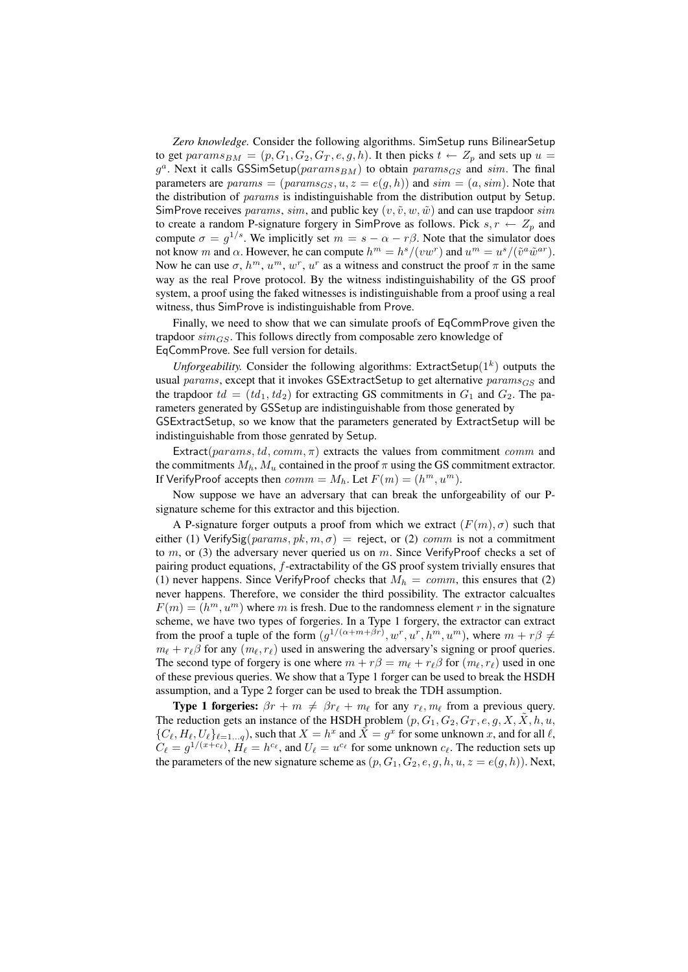*Zero knowledge.* Consider the following algorithms. SimSetup runs BilinearSetup to get  $params_{BM} = (p, G_1, G_2, G_T, e, g, h)$ . It then picks  $t \leftarrow Z_p$  and sets up  $u =$  $g^a$ . Next it calls GSSimSetup( $params_{BM}$ ) to obtain  $params_{GS}$  and  $sim$ . The final parameters are  $params = (params_{GS}, u, z = e(g, h))$  and  $sim = (a, sim)$ . Note that the distribution of params is indistinguishable from the distribution output by Setup. SimProve receives params, sim, and public key  $(v, \tilde{v}, w, \tilde{w})$  and can use trapdoor sim to create a random P-signature forgery in SimProve as follows. Pick  $s, r \leftarrow Z_p$  and compute  $\sigma = g^{1/s}$ . We implicitly set  $m = s - \alpha - r\beta$ . Note that the simulator does not know m and  $\alpha$ . However, he can compute  $h^m = h^s/(vw^r)$  and  $u^m = u^s/(\tilde{v}^a \tilde{w}^{ar})$ . Now he can use  $\sigma$ ,  $h^m$ ,  $u^m$ ,  $w^r$ ,  $u^r$  as a witness and construct the proof  $\pi$  in the same way as the real Prove protocol. By the witness indistinguishability of the GS proof system, a proof using the faked witnesses is indistinguishable from a proof using a real witness, thus SimProve is indistinguishable from Prove.

Finally, we need to show that we can simulate proofs of EqCommProve given the trapdoor  $\text{sim}_{GS}$ . This follows directly from composable zero knowledge of EqCommProve. See full version for details.

*Unforgeability*. Consider the following algorithms: ExtractSetup( $1<sup>k</sup>$ ) outputs the usual params, except that it invokes GSExtractSetup to get alternative  $params_{GS}$  and the trapdoor  $td = (td_1, td_2)$  for extracting GS commitments in  $G_1$  and  $G_2$ . The parameters generated by GSSetup are indistinguishable from those generated by GSExtractSetup, so we know that the parameters generated by ExtractSetup will be indistinguishable from those genrated by Setup.

Extract( $params, td, comm, \pi$ ) extracts the values from commitment comm and the commitments  $M_h$ ,  $M_u$  contained in the proof  $\pi$  using the GS commitment extractor. If VerifyProof accepts then  $comm = M_h$ . Let  $F(m) = (h^m, u^m)$ .

Now suppose we have an adversary that can break the unforgeability of our Psignature scheme for this extractor and this bijection.

A P-signature forger outputs a proof from which we extract  $(F(m), \sigma)$  such that either (1) VerifySig( $params, pk, m, \sigma$ ) = reject, or (2) comm is not a commitment to m, or (3) the adversary never queried us on m. Since VerifyProof checks a set of pairing product equations, f-extractability of the GS proof system trivially ensures that (1) never happens. Since VerifyProof checks that  $M_h = comm$ , this ensures that (2) never happens. Therefore, we consider the third possibility. The extractor calcualtes  $F(m) = (h^m, u^m)$  where m is fresh. Due to the randomness element r in the signature scheme, we have two types of forgeries. In a Type 1 forgery, the extractor can extract from the proof a tuple of the form  $(g^{1/(\alpha+m+\beta r)}, w^r, u^r, h^m, u^m)$ , where  $m + r\beta \neq$  $m_{\ell} + r_{\ell} \beta$  for any  $(m_{\ell}, r_{\ell})$  used in answering the adversary's signing or proof queries. The second type of forgery is one where  $m + r\beta = m_\ell + r_\ell\beta$  for  $(m_\ell, r_\ell)$  used in one of these previous queries. We show that a Type 1 forger can be used to break the HSDH assumption, and a Type 2 forger can be used to break the TDH assumption.

**Type 1 forgeries:**  $\beta r + m \neq \beta r_\ell + m_\ell$  for any  $r_\ell, m_\ell$  from a previous query. The reduction gets an instance of the HSDH problem  $(p, G_1, G_2, G_T, e, g, X, \tilde{X}, h, u, \tilde{X})$  $\{C_\ell, H_\ell, U_\ell\}_{\ell=1...q}$ , such that  $X = h^x$  and  $\tilde{X} = g^x$  for some unknown x, and for all  $\ell$ ,  $C_\ell = g^{1/(x+c_\ell)}$ ,  $H_\ell = h^{c_\ell}$ , and  $U_\ell = u^{c_\ell}$  for some unknown  $c_\ell$ . The reduction sets up the parameters of the new signature scheme as  $(p, G_1, G_2, e, g, h, u, z = e(g, h))$ . Next,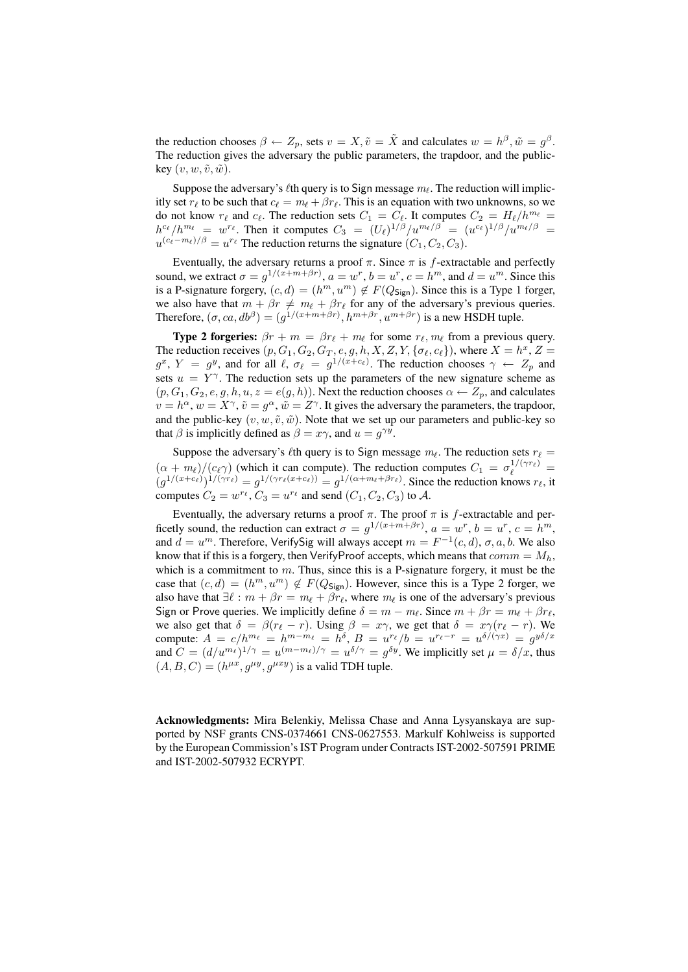the reduction chooses  $\beta \leftarrow Z_p$ , sets  $v = X$ ,  $\tilde{v} = \tilde{X}$  and calculates  $w = h^{\beta}, \tilde{w} = g^{\beta}$ . The reduction gives the adversary the public parameters, the trapdoor, and the publickey  $(v, w, \tilde{v}, \tilde{w})$ .

Suppose the adversary's  $\ell$ th query is to Sign message  $m_\ell$ . The reduction will implicitly set  $r_\ell$  to be such that  $c_\ell = m_\ell + \beta r_\ell$ . This is an equation with two unknowns, so we do not know  $r_\ell$  and  $c_\ell$ . The reduction sets  $C_1 = C_\ell$ . It computes  $C_2 = H_\ell/h^{m_\ell} =$  $h^{c_{\ell}}/h^{m_{\ell}} = w^{r_{\ell}}$ . Then it computes  $C_3 = (U_{\ell})^{1/\beta}/u^{m_{\ell}/\beta} = (u^{c_{\ell}})^{1/\beta}/u^{m_{\ell}/\beta} =$  $u^{(c_\ell-m_\ell)/\beta} = u^{r_\ell}$  The reduction returns the signature  $(C_1, C_2, C_3)$ .

Eventually, the adversary returns a proof  $\pi$ . Since  $\pi$  is f-extractable and perfectly sound, we extract  $\sigma = g^{1/(x+m+\beta r)}$ ,  $a = w^r$ ,  $b = u^r$ ,  $c = h^m$ , and  $d = u^m$ . Since this is a P-signature forgery,  $(c, d) = (h^m, u^m) \notin F(Q_{\text{Sign}})$ . Since this is a Type 1 forger, we also have that  $m + \beta r \neq m_\ell + \beta r_\ell$  for any of the adversary's previous queries. Therefore,  $(\sigma, ca, db^{\beta}) = (g^{1/(x+m+\beta r)}, h^{m+\beta r}, u^{m+\beta r})$  is a new HSDH tuple.

**Type 2 forgeries:**  $\beta r + m = \beta r_\ell + m_\ell$  for some  $r_\ell, m_\ell$  from a previous query. The reduction receives  $(p, G_1, G_2, G_T, e, g, h, X, Z, Y, {\sigma_{\ell}, c_{\ell}})$ , where  $X = h^x, Z =$  $g^x$ ,  $Y = g^y$ , and for all  $\ell$ ,  $\sigma_{\ell} = g^{1/(x+c_{\ell})}$ . The reduction chooses  $\gamma \leftarrow Z_p$  and sets  $u = Y^{\gamma}$ . The reduction sets up the parameters of the new signature scheme as  $(p, G_1, G_2, e, g, h, u, z = e(g, h))$ . Next the reduction chooses  $\alpha \leftarrow Z_p$ , and calculates  $v = h^{\alpha}, w = X^{\gamma}, \tilde{v} = g^{\alpha}, \tilde{w} = Z^{\gamma}$ . It gives the adversary the parameters, the trapdoor, and the public-key  $(v, w, \tilde{v}, \tilde{w})$ . Note that we set up our parameters and public-key so that  $\beta$  is implicitly defined as  $\beta = x\gamma$ , and  $u = g^{\gamma y}$ .

Suppose the adversary's  $\ell$ th query is to Sign message  $m_\ell$ . The reduction sets  $r_\ell =$  $(\alpha + m_\ell)/(c_\ell \gamma)$  (which it can compute). The reduction computes  $C_1 = \sigma_\ell^{1/(\gamma r_\ell)}$  $(g^{1/(x+c_{\ell})})^{1/(\gamma r_{\ell})} = g^{1/(\gamma r_{\ell}(x+c_{\ell}))} = g^{1/(\alpha+m_{\ell}+\beta r_{\ell})}$ . Since the reduction knows  $r_{\ell}$ , it computes  $C_2 = w^{r_\ell}, C_3 = u^{r_\ell}$  and send  $(C_1, C_2, C_3)$  to A.

Eventually, the adversary returns a proof  $\pi$ . The proof  $\pi$  is f-extractable and perficetly sound, the reduction can extract  $\sigma = g^{1/(x+m+\beta r)}$ ,  $a = w^r$ ,  $b = u^r$ ,  $c = h^m$ , and  $d = u^m$ . Therefore, VerifySig will always accept  $m = F^{-1}(c, d)$ ,  $\sigma$ ,  $a$ ,  $b$ . We also know that if this is a forgery, then VerifyProof accepts, which means that  $comm = M_h$ , which is a commitment to  $m$ . Thus, since this is a P-signature forgery, it must be the case that  $(c, d) = (h^m, u^m) \notin F(Q_{Sign})$ . However, since this is a Type 2 forger, we also have that  $\exists \ell : m + \beta r = m_\ell + \beta r_\ell$ , where  $m_\ell$  is one of the adversary's previous Sign or Prove queries. We implicitly define  $\delta = m - m_\ell$ . Since  $m + \beta r = m_\ell + \beta r_\ell$ , we also get that  $\delta = \beta(r_\ell - r)$ . Using  $\beta = x\gamma$ , we get that  $\delta = x\gamma(r_\ell - r)$ . We compute:  $A = c/h^{m_\ell} = h^{m-m_\ell} = h^\delta$ ,  $B = u^{r_\ell}/b = u^{r_\ell - r} = u^{\delta/(\gamma x)} = g^{y\delta/x}$ and  $C = (d/u^{m_{\ell}})^{1/\gamma} = u^{(m-m_{\ell})/\gamma} = u^{\delta/\gamma} = g^{\delta y}$ . We implicitly set  $\mu = \delta/x$ , thus  $(A, B, C) = (h^{\mu x}, g^{\mu y}, g^{\mu x y})$  is a valid TDH tuple.

Acknowledgments: Mira Belenkiy, Melissa Chase and Anna Lysyanskaya are supported by NSF grants CNS-0374661 CNS-0627553. Markulf Kohlweiss is supported by the European Commission's IST Program under Contracts IST-2002-507591 PRIME and IST-2002-507932 ECRYPT.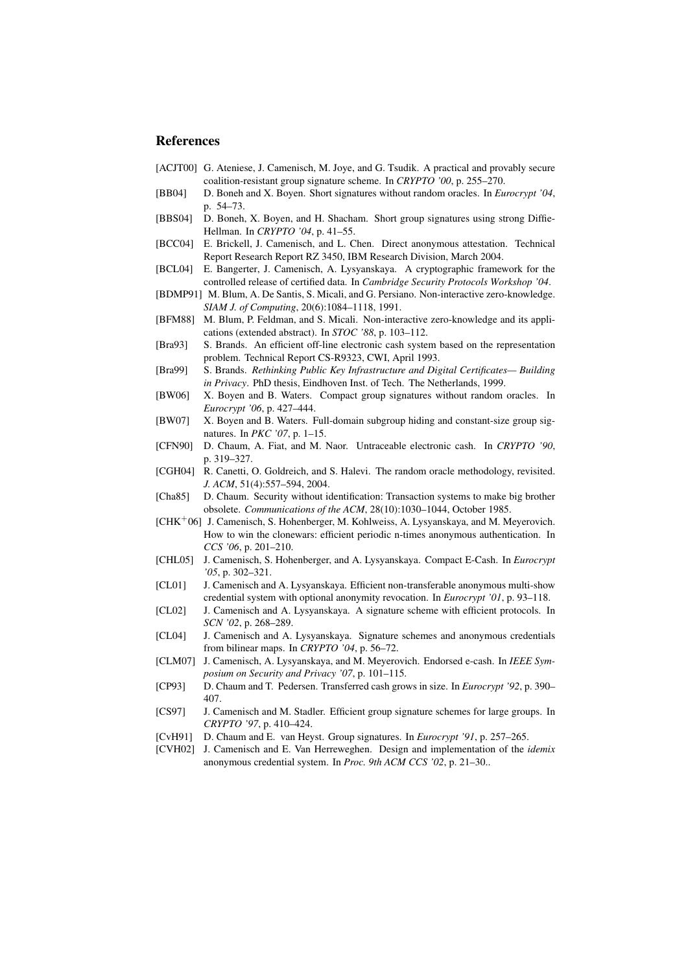## References

- [ACJT00] G. Ateniese, J. Camenisch, M. Joye, and G. Tsudik. A practical and provably secure coalition-resistant group signature scheme. In *CRYPTO '00*, p. 255–270.
- [BB04] D. Boneh and X. Boyen. Short signatures without random oracles. In *Eurocrypt '04*, p. 54–73.
- [BBS04] D. Boneh, X. Boyen, and H. Shacham. Short group signatures using strong Diffie-Hellman. In *CRYPTO '04*, p. 41–55.
- [BCC04] E. Brickell, J. Camenisch, and L. Chen. Direct anonymous attestation. Technical Report Research Report RZ 3450, IBM Research Division, March 2004.
- [BCL04] E. Bangerter, J. Camenisch, A. Lysyanskaya. A cryptographic framework for the controlled release of certified data. In *Cambridge Security Protocols Workshop '04*.
- [BDMP91] M. Blum, A. De Santis, S. Micali, and G. Persiano. Non-interactive zero-knowledge. *SIAM J. of Computing*, 20(6):1084–1118, 1991.
- [BFM88] M. Blum, P. Feldman, and S. Micali. Non-interactive zero-knowledge and its applications (extended abstract). In *STOC '88*, p. 103–112.
- [Bra93] S. Brands. An efficient off-line electronic cash system based on the representation problem. Technical Report CS-R9323, CWI, April 1993.
- [Bra99] S. Brands. *Rethinking Public Key Infrastructure and Digital Certificates— Building in Privacy*. PhD thesis, Eindhoven Inst. of Tech. The Netherlands, 1999.
- [BW06] X. Boyen and B. Waters. Compact group signatures without random oracles. In *Eurocrypt '06*, p. 427–444.
- [BW07] X. Boyen and B. Waters. Full-domain subgroup hiding and constant-size group signatures. In *PKC '07*, p. 1–15.
- [CFN90] D. Chaum, A. Fiat, and M. Naor. Untraceable electronic cash. In *CRYPTO '90*, p. 319–327.
- [CGH04] R. Canetti, O. Goldreich, and S. Halevi. The random oracle methodology, revisited. *J. ACM*, 51(4):557–594, 2004.
- [Cha85] D. Chaum. Security without identification: Transaction systems to make big brother obsolete. *Communications of the ACM*, 28(10):1030–1044, October 1985.
- [CHK<sup>+</sup>06] J. Camenisch, S. Hohenberger, M. Kohlweiss, A. Lysyanskaya, and M. Meyerovich. How to win the clonewars: efficient periodic n-times anonymous authentication. In *CCS '06*, p. 201–210.
- [CHL05] J. Camenisch, S. Hohenberger, and A. Lysyanskaya. Compact E-Cash. In *Eurocrypt '05*, p. 302–321.
- [CL01] J. Camenisch and A. Lysyanskaya. Efficient non-transferable anonymous multi-show credential system with optional anonymity revocation. In *Eurocrypt '01*, p. 93–118.
- [CL02] J. Camenisch and A. Lysyanskaya. A signature scheme with efficient protocols. In *SCN '02*, p. 268–289.
- [CL04] J. Camenisch and A. Lysyanskaya. Signature schemes and anonymous credentials from bilinear maps. In *CRYPTO '04*, p. 56–72.
- [CLM07] J. Camenisch, A. Lysyanskaya, and M. Meyerovich. Endorsed e-cash. In *IEEE Symposium on Security and Privacy '07*, p. 101–115.
- [CP93] D. Chaum and T. Pedersen. Transferred cash grows in size. In *Eurocrypt '92*, p. 390– 407.
- [CS97] J. Camenisch and M. Stadler. Efficient group signature schemes for large groups. In *CRYPTO '97*, p. 410–424.
- [CvH91] D. Chaum and E. van Heyst. Group signatures. In *Eurocrypt '91*, p. 257–265.
- [CVH02] J. Camenisch and E. Van Herreweghen. Design and implementation of the *idemix* anonymous credential system. In *Proc. 9th ACM CCS '02*, p. 21–30..